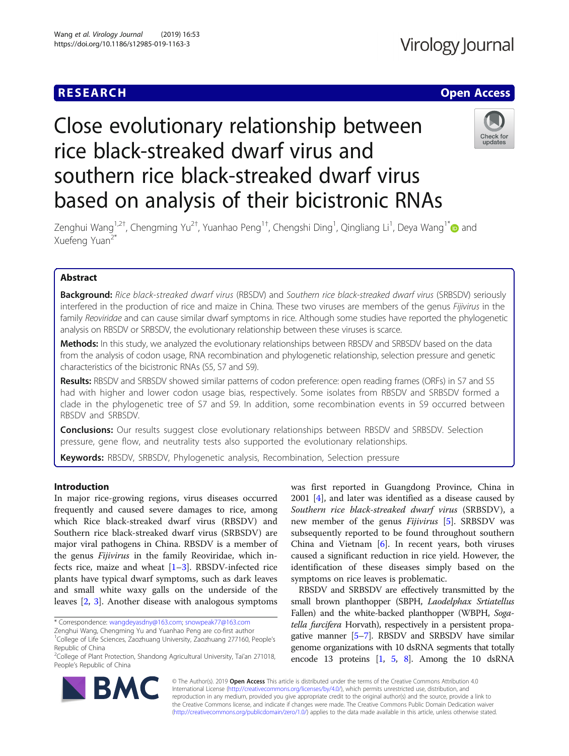# **RESEARCH CHE Open Access**

# Check for updates

# Zenghui Wang<sup>1,2†</sup>, Chengming Yu<sup>2†</sup>, Yuanhao Peng<sup>1†</sup>, Chengshi Ding<sup>1</sup>, Qingliang Li<sup>1</sup>, Deya Wang<sup>1\*</sup>❶ and Xuefeng Yuan<sup>2\*</sup>

Close evolutionary relationship between

southern rice black-streaked dwarf virus

based on analysis of their bicistronic RNAs

rice black-streaked dwarf virus and

# Abstract

Background: Rice black-streaked dwarf virus (RBSDV) and Southern rice black-streaked dwarf virus (SRBSDV) seriously interfered in the production of rice and maize in China. These two viruses are members of the genus Fijivirus in the family Reoviridae and can cause similar dwarf symptoms in rice. Although some studies have reported the phylogenetic analysis on RBSDV or SRBSDV, the evolutionary relationship between these viruses is scarce.

Methods: In this study, we analyzed the evolutionary relationships between RBSDV and SRBSDV based on the data from the analysis of codon usage, RNA recombination and phylogenetic relationship, selection pressure and genetic characteristics of the bicistronic RNAs (S5, S7 and S9).

Results: RBSDV and SRBSDV showed similar patterns of codon preference: open reading frames (ORFs) in S7 and S5 had with higher and lower codon usage bias, respectively. Some isolates from RBSDV and SRBSDV formed a clade in the phylogenetic tree of S7 and S9. In addition, some recombination events in S9 occurred between RBSDV and SRBSDV.

**Conclusions:** Our results suggest close evolutionary relationships between RBSDV and SRBSDV. Selection pressure, gene flow, and neutrality tests also supported the evolutionary relationships.

Keywords: RBSDV, SRBSDV, Phylogenetic analysis, Recombination, Selection pressure

# Introduction

In major rice-growing regions, virus diseases occurred frequently and caused severe damages to rice, among which Rice black-streaked dwarf virus (RBSDV) and Southern rice black-streaked dwarf virus (SRBSDV) are major viral pathogens in China. RBSDV is a member of the genus Fijivirus in the family Reoviridae, which infects rice, maize and wheat  $[1-3]$  $[1-3]$  $[1-3]$  $[1-3]$  $[1-3]$ . RBSDV-infected rice plants have typical dwarf symptoms, such as dark leaves and small white waxy galls on the underside of the leaves [[2](#page-8-0), [3](#page-8-0)]. Another disease with analogous symptoms

was first reported in Guangdong Province, China in 2001 [\[4](#page-8-0)], and later was identified as a disease caused by Southern rice black-streaked dwarf virus (SRBSDV), a new member of the genus Fijivirus [\[5\]](#page-8-0). SRBSDV was subsequently reported to be found throughout southern China and Vietnam  $[6]$  $[6]$ . In recent years, both viruses caused a significant reduction in rice yield. However, the identification of these diseases simply based on the symptoms on rice leaves is problematic.

RBSDV and SRBSDV are effectively transmitted by the small brown planthopper (SBPH, Laodelphax Srtiatellus Fallen) and the white-backed planthopper (WBPH, Sogatella furcifera Horvath), respectively in a persistent propagative manner [[5](#page-8-0)–[7\]](#page-8-0). RBSDV and SRBSDV have similar genome organizations with 10 dsRNA segments that totally encode 13 proteins [\[1](#page-8-0), [5](#page-8-0), [8\]](#page-8-0). Among the 10 dsRNA



© The Author(s). 2019 **Open Access** This article is distributed under the terms of the Creative Commons Attribution 4.0 International License [\(http://creativecommons.org/licenses/by/4.0/](http://creativecommons.org/licenses/by/4.0/)), which permits unrestricted use, distribution, and reproduction in any medium, provided you give appropriate credit to the original author(s) and the source, provide a link to the Creative Commons license, and indicate if changes were made. The Creative Commons Public Domain Dedication waiver [\(http://creativecommons.org/publicdomain/zero/1.0/](http://creativecommons.org/publicdomain/zero/1.0/)) applies to the data made available in this article, unless otherwise stated.

<sup>\*</sup> Correspondence: [wangdeyasdny@163.com;](mailto:wangdeyasdny@163.com) [snowpeak77@163.com](mailto:snowpeak77@163.com)

Zenghui Wang, Chengming Yu and Yuanhao Peng are co-first author <sup>1</sup>College of Life Sciences, Zaozhuang University, Zaozhuang 277160, People's Republic of China

<sup>&</sup>lt;sup>2</sup>College of Plant Protection, Shandong Agricultural University, Tai'an 271018, People's Republic of China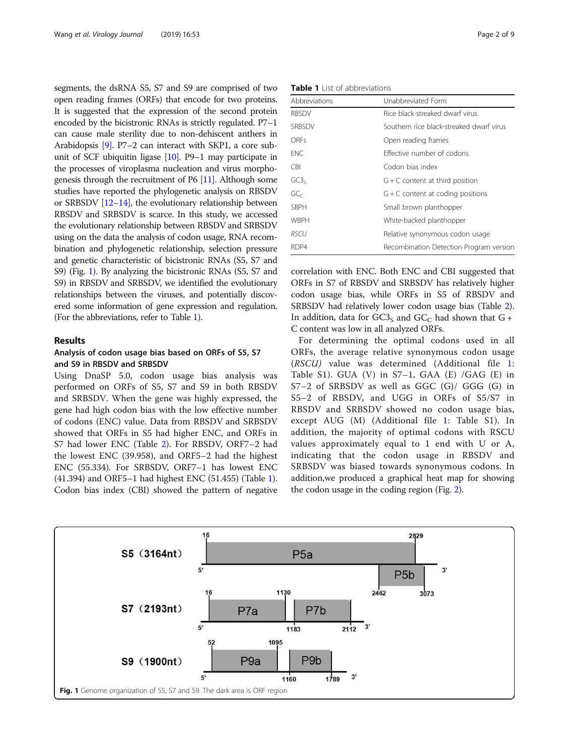<span id="page-1-0"></span>segments, the dsRNA S5, S7 and S9 are comprised of two open reading frames (ORFs) that encode for two proteins. It is suggested that the expression of the second protein encoded by the bicistronic RNAs is strictly regulated. P7–1 can cause male sterility due to non-dehiscent anthers in Arabidopsis [[9](#page-8-0)]. P7–2 can interact with SKP1, a core subunit of SCF ubiquitin ligase [\[10\]](#page-8-0). P9–1 may participate in the processes of viroplasma nucleation and virus morphogenesis through the recruitment of P6 [\[11\]](#page-8-0). Although some studies have reported the phylogenetic analysis on RBSDV or SRBSDV [\[12](#page-8-0)–[14\]](#page-8-0), the evolutionary relationship between RBSDV and SRBSDV is scarce. In this study, we accessed the evolutionary relationship between RBSDV and SRBSDV using on the data the analysis of codon usage, RNA recombination and phylogenetic relationship, selection pressure and genetic characteristic of bicistronic RNAs (S5, S7 and S9) (Fig. 1). By analyzing the bicistronic RNAs (S5, S7 and S9) in RBSDV and SRBSDV, we identified the evolutionary relationships between the viruses, and potentially discovered some information of gene expression and regulation. (For the abbreviations, refer to Table 1).

# Results

# Analysis of codon usage bias based on ORFs of S5, S7 and S9 in RBSDV and SRBSDV

Using DnaSP 5.0, codon usage bias analysis was performed on ORFs of S5, S7 and S9 in both RBSDV and SRBSDV. When the gene was highly expressed, the gene had high codon bias with the low effective number of codons (ENC) value. Data from RBSDV and SRBSDV showed that ORFs in S5 had higher ENC, and ORFs in S7 had lower ENC (Table [2\)](#page-2-0). For RBSDV, ORF7–2 had the lowest ENC (39.958), and ORF5–2 had the highest ENC (55.334). For SRBSDV, ORF7–1 has lowest ENC (41.394) and ORF5–1 had highest ENC (51.455) (Table 1). Codon bias index (CBI) showed the pattern of negative

Table 1 List of abbreviations

| Abbreviations    | Unabbreviated Form                       |
|------------------|------------------------------------------|
| <b>RBSDV</b>     | Rice black-streaked dwarf virus          |
| <b>SRBSDV</b>    | Southern rice black-streaked dwarf virus |
| ORES             | Open reading frames                      |
| <b>FNC</b>       | Effective number of codons               |
| CBI.             | Codon bias index                         |
| GC3 <sub>5</sub> | $G + C$ content at third position        |
| GC <sub>c</sub>  | $G + C$ content at coding positions      |
| <b>SBPH</b>      | Small brown planthopper                  |
| <b>WBPH</b>      | White-backed planthopper                 |
| <i>RSCU</i>      | Relative synonymous codon usage          |
| RDP4             | Recombination Detection Program version  |

correlation with ENC. Both ENC and CBI suggested that ORFs in S7 of RBSDV and SRBSDV has relatively higher codon usage bias, while ORFs in S5 of RBSDV and SRBSDV had relatively lower codon usage bias (Table [2](#page-2-0)). In addition, data for  $GCS<sub>S</sub>$  and  $GCC<sub>C</sub>$  had shown that  $G +$ C content was low in all analyzed ORFs.

For determining the optimal codons used in all ORFs, the average relative synonymous codon usage (RSCU) value was determined (Additional file [1](#page-7-0): Table S1). GUA (V) in  $S7-1$ , GAA (E) /GAG (E) in S7–2 of SRBSDV as well as GGC (G)/ GGG (G) in S5–2 of RBSDV, and UGG in ORFs of S5/S7 in RBSDV and SRBSDV showed no codon usage bias, except AUG (M) (Additional file [1:](#page-7-0) Table S1). In addition, the majority of optimal codons with RSCU values approximately equal to 1 end with U or A, indicating that the codon usage in RBSDV and SRBSDV was biased towards synonymous codons. In addition,we produced a graphical heat map for showing the codon usage in the coding region (Fig. [2](#page-2-0)).

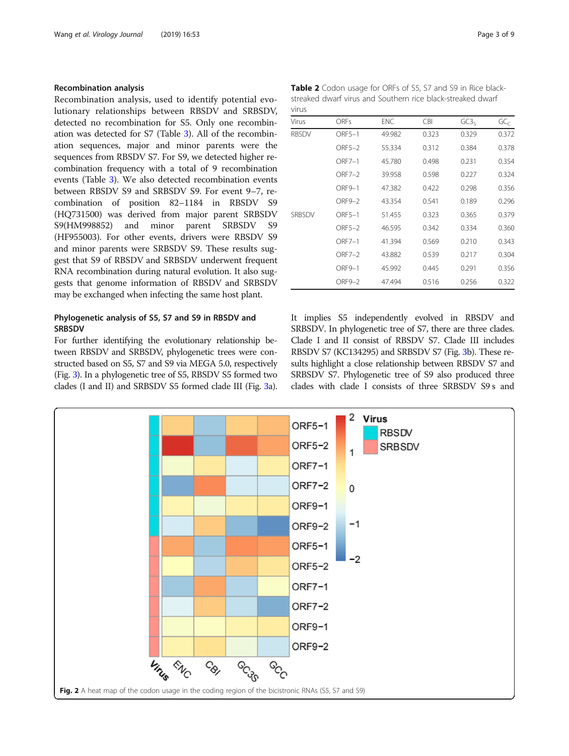# <span id="page-2-0"></span>Recombination analysis

Recombination analysis, used to identify potential evolutionary relationships between RBSDV and SRBSDV, detected no recombination for S5. Only one recombination was detected for S7 (Table [3](#page-3-0)). All of the recombination sequences, major and minor parents were the sequences from RBSDV S7. For S9, we detected higher recombination frequency with a total of 9 recombination events (Table [3](#page-3-0)). We also detected recombination events between RBSDV S9 and SRBSDV S9. For event 9–7, recombination of position 82–1184 in RBSDV S9 (HQ731500) was derived from major parent SRBSDV S9(HM998852) and minor parent SRBSDV S9 (HF955003). For other events, drivers were RBSDV S9 and minor parents were SRBSDV S9. These results suggest that S9 of RBSDV and SRBSDV underwent frequent RNA recombination during natural evolution. It also suggests that genome information of RBSDV and SRBSDV may be exchanged when infecting the same host plant.

# Phylogenetic analysis of S5, S7 and S9 in RBSDV and **SRBSDV**

For further identifying the evolutionary relationship between RBSDV and SRBSDV, phylogenetic trees were constructed based on S5, S7 and S9 via MEGA 5.0, respectively (Fig. [3\)](#page-3-0). In a phylogenetic tree of S5, RBSDV S5 formed two clades (I and II) and SRBSDV S5 formed clade III (Fig. [3](#page-3-0)a).

| <b>Table 2</b> Codon usage for ORFs of S5, S7 and S9 in Rice black- |  |
|---------------------------------------------------------------------|--|
| streaked dwarf virus and Southern rice black-streaked dwarf         |  |
| virus                                                               |  |

| Virus         | <b>ORFs</b>   | ENC    | <b>CBI</b> | GC3 <sub>5</sub> | GC <sub>C</sub> |
|---------------|---------------|--------|------------|------------------|-----------------|
| <b>RBSDV</b>  | ORF5-1        | 49.982 | 0.323      | 0.329            | 0.372           |
|               | ORF5-2        | 55.334 | 0.312      | 0.384            | 0.378           |
|               | $ORF7-1$      | 45.780 | 0.498      | 0.231            | 0.354           |
|               | $ORF7-2$      | 39.958 | 0.598      | 0.227            | 0.324           |
|               | ORF9-1        | 47.382 | 0.422      | 0.298            | 0.356           |
|               | ORF9-2        | 43.354 | 0.541      | 0.189            | 0.296           |
| <b>SRBSDV</b> | ORF5-1        | 51.455 | 0.323      | 0.365            | 0.379           |
|               | ORF5-2        | 46.595 | 0.342      | 0.334            | 0.360           |
|               | $ORF7-1$      | 41.394 | 0.569      | 0.210            | 0.343           |
|               | <b>ORF7-2</b> | 43.882 | 0.539      | 0.217            | 0.304           |
|               | ORF9-1        | 45.992 | 0.445      | 0.291            | 0.356           |
|               | ORF9-2        | 47.494 | 0.516      | 0.256            | 0.322           |

It implies S5 independently evolved in RBSDV and SRBSDV. In phylogenetic tree of S7, there are three clades. Clade I and II consist of RBSDV S7. Clade III includes RBSDV S7 (KC134295) and SRBSDV S7 (Fig. [3b](#page-3-0)). These results highlight a close relationship between RBSDV S7 and SRBSDV S7. Phylogenetic tree of S9 also produced three clades with clade I consists of three SRBSDV S9 s and

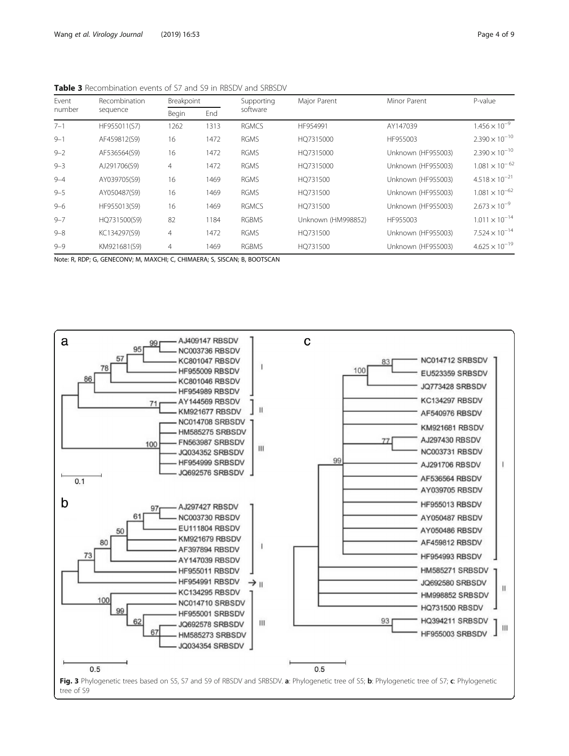<span id="page-3-0"></span>Table 3 Recombination events of S7 and S9 in RBSDV and SRBSDV

| Event<br>number | Recombination | Breakpoint     |      | Supporting   | Major Parent       | Minor Parent       | P-value                 |
|-----------------|---------------|----------------|------|--------------|--------------------|--------------------|-------------------------|
|                 | sequence      | Begin          | End  | software     |                    |                    |                         |
| $7 - 1$         | HF955011(S7)  | 1262           | 1313 | <b>RGMCS</b> | HF954991           | AY147039           | $1.456 \times 10^{-9}$  |
| $9 - 1$         | AF459812(S9)  | 16             | 1472 | <b>RGMS</b>  | HO7315000          | HF955003           | $2.390 \times 10^{-10}$ |
| $9 - 2$         | AF536564(S9)  | 16             | 1472 | <b>RGMS</b>  | HO7315000          | Unknown (HF955003) | $2.390 \times 10^{-10}$ |
| $9 - 3$         | AJ291706(S9)  | 4              | 1472 | <b>RGMS</b>  | HO7315000          | Unknown (HF955003) | $1.081 \times 10^{-62}$ |
| $9 - 4$         | AY039705(S9)  | 16             | 1469 | <b>RGMS</b>  | HQ731500           | Unknown (HF955003) | $4.518 \times 10^{-21}$ |
| $9 - 5$         | AY050487(S9)  | 16             | 1469 | <b>RGMS</b>  | HO731500           | Unknown (HF955003) | $1.081 \times 10^{-62}$ |
| $9 - 6$         | HF955013(S9)  | 16             | 1469 | <b>RGMCS</b> | HO731500           | Unknown (HF955003) | $2.673 \times 10^{-9}$  |
| $9 - 7$         | HQ731500(S9)  | 82             | 1184 | <b>RGBMS</b> | Unknown (HM998852) | HF955003           | $1.011 \times 10^{-14}$ |
| $9 - 8$         | KC134297(S9)  | $\overline{4}$ | 1472 | <b>RGMS</b>  | HO731500           | Unknown (HF955003) | $7.524 \times 10^{-14}$ |
| $9 - 9$         | KM921681(S9)  | $\overline{4}$ | 1469 | <b>RGBMS</b> | HO731500           | Unknown (HF955003) | $4.625 \times 10^{-19}$ |

Note: R, RDP; G, GENECONV; M, MAXCHI; C, CHIMAERA; S, SISCAN; B, BOOTSCAN

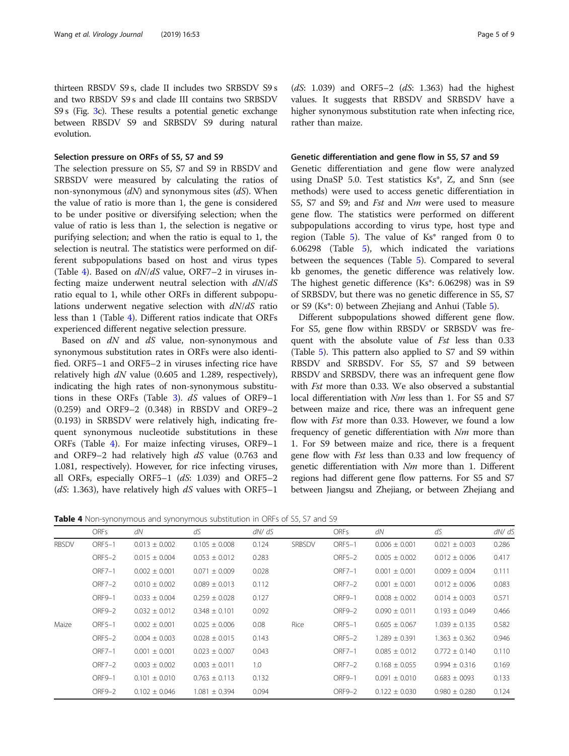thirteen RBSDV S9 s, clade II includes two SRBSDV S9 s and two RBSDV S9 s and clade III contains two SRBSDV S9 s (Fig. [3](#page-3-0)c). These results a potential genetic exchange between RBSDV S9 and SRBSDV S9 during natural evolution.

# Selection pressure on ORFs of S5, S7 and S9

The selection pressure on S5, S7 and S9 in RBSDV and SRBSDV were measured by calculating the ratios of non-synonymous  $(dN)$  and synonymous sites  $(dS)$ . When the value of ratio is more than 1, the gene is considered to be under positive or diversifying selection; when the value of ratio is less than 1, the selection is negative or purifying selection; and when the ratio is equal to 1, the selection is neutral. The statistics were performed on different subpopulations based on host and virus types (Table 4). Based on  $dN/dS$  value, ORF7-2 in viruses infecting maize underwent neutral selection with  $dN/dS$ ratio equal to 1, while other ORFs in different subpopulations underwent negative selection with  $dN/dS$  ratio less than 1 (Table 4). Different ratios indicate that ORFs experienced different negative selection pressure.

Based on  $dN$  and  $dS$  value, non-synonymous and synonymous substitution rates in ORFs were also identified. ORF5–1 and ORF5–2 in viruses infecting rice have relatively high  $dN$  value (0.605 and 1.289, respectively), indicating the high rates of non-synonymous substitu-tions in these ORFs (Table [3\)](#page-3-0).  $dS$  values of ORF9-1 (0.259) and ORF9–2 (0.348) in RBSDV and ORF9–2 (0.193) in SRBSDV were relatively high, indicating frequent synonymous nucleotide substitutions in these ORFs (Table 4). For maize infecting viruses, ORF9–1 and ORF9–2 had relatively high  $dS$  value (0.763 and 1.081, respectively). However, for rice infecting viruses, all ORFs, especially ORF5–1  $(dS: 1.039)$  and ORF5–2 (dS: 1.363), have relatively high dS values with ORF5-1

 $(dS: 1.039)$  and ORF5–2  $(dS: 1.363)$  had the highest values. It suggests that RBSDV and SRBSDV have a higher synonymous substitution rate when infecting rice, rather than maize.

#### Genetic differentiation and gene flow in S5, S7 and S9

Genetic differentiation and gene flow were analyzed using DnaSP 5.0. Test statistics Ks\*, Z, and Snn (see methods) were used to access genetic differentiation in S5, S7 and S9; and *Fst* and *Nm* were used to measure gene flow. The statistics were performed on different subpopulations according to virus type, host type and region (Table  $5$ ). The value of  $Ks^*$  ranged from 0 to 6.06298 (Table [5](#page-5-0)), which indicated the variations between the sequences (Table [5\)](#page-5-0). Compared to several kb genomes, the genetic difference was relatively low. The highest genetic difference (Ks\*: 6.06298) was in S9 of SRBSDV, but there was no genetic difference in S5, S7 or S9 (Ks\*: 0) between Zhejiang and Anhui (Table [5](#page-5-0)).

Different subpopulations showed different gene flow. For S5, gene flow within RBSDV or SRBSDV was frequent with the absolute value of Fst less than 0.33 (Table [5](#page-5-0)). This pattern also applied to S7 and S9 within RBSDV and SRBSDV. For S5, S7 and S9 between RBSDV and SRBSDV, there was an infrequent gene flow with Fst more than 0.33. We also observed a substantial local differentiation with Nm less than 1. For S5 and S7 between maize and rice, there was an infrequent gene flow with Fst more than 0.33. However, we found a low frequency of genetic differentiation with Nm more than 1. For S9 between maize and rice, there is a frequent gene flow with Fst less than 0.33 and low frequency of genetic differentiation with  $Nm$  more than 1. Different regions had different gene flow patterns. For S5 and S7 between Jiangsu and Zhejiang, or between Zhejiang and

**Table 4** Non-synonymous and synonymous substitution in ORFs of S5, S7 and S9

|              | <b>ORFs</b>   | dN                | dS                | dN/dS |        | <b>ORFs</b>   | dN                | dS                | dN/dS |
|--------------|---------------|-------------------|-------------------|-------|--------|---------------|-------------------|-------------------|-------|
| <b>RBSDV</b> | ORF5-1        | $0.013 \pm 0.002$ | $0.105 \pm 0.008$ | 0.124 | SRBSDV | ORF5-1        | $0.006 \pm 0.001$ | $0.021 \pm 0.003$ | 0.286 |
|              | ORF5-2        | $0.015 \pm 0.004$ | $0.053 \pm 0.012$ | 0.283 |        | ORF5-2        | $0.005 \pm 0.002$ | $0.012 \pm 0.006$ | 0.417 |
|              | <b>ORF7-1</b> | $0.002 \pm 0.001$ | $0.071 \pm 0.009$ | 0.028 |        | ORF7-1        | $0.001 \pm 0.001$ | $0.009 \pm 0.004$ | 0.111 |
|              | ORF7-2        | $0.010 \pm 0.002$ | $0.089 \pm 0.013$ | 0.112 |        | ORF7-2        | $0.001 \pm 0.001$ | $0.012 \pm 0.006$ | 0.083 |
|              | ORF9-1        | $0.033 \pm 0.004$ | $0.259 \pm 0.028$ | 0.127 |        | ORF9-1        | $0.008 \pm 0.002$ | $0.014 \pm 0.003$ | 0.571 |
|              | ORF9-2        | $0.032 \pm 0.012$ | $0.348 \pm 0.101$ | 0.092 |        | ORF9-2        | $0.090 \pm 0.011$ | $0.193 \pm 0.049$ | 0.466 |
| Maize        | ORF5-1        | $0.002 \pm 0.001$ | $0.025 \pm 0.006$ | 0.08  | Rice   | ORF5-1        | $0.605 \pm 0.067$ | $1.039 \pm 0.135$ | 0.582 |
|              | ORF5-2        | $0.004 \pm 0.003$ | $0.028 \pm 0.015$ | 0.143 |        | ORF5-2        | $1.289 \pm 0.391$ | $1.363 \pm 0.362$ | 0.946 |
|              | ORF7-1        | $0.001 \pm 0.001$ | $0.023 \pm 0.007$ | 0.043 |        | <b>ORF7-1</b> | $0.085 \pm 0.012$ | $0.772 \pm 0.140$ | 0.110 |
|              | ORF7-2        | $0.003 \pm 0.002$ | $0.003 \pm 0.011$ | 1.0   |        | ORF7-2        | $0.168 \pm 0.055$ | $0.994 \pm 0.316$ | 0.169 |
|              | ORF9-1        | $0.101 \pm 0.010$ | $0.763 \pm 0.113$ | 0.132 |        | ORF9-1        | $0.091 \pm 0.010$ | $0.683 \pm 0093$  | 0.133 |
|              | ORF9-2        | $0.102 \pm 0.046$ | $1.081 \pm 0.394$ | 0.094 |        | ORF9-2        | $0.122 \pm 0.030$ | $0.980 \pm 0.280$ | 0.124 |
|              |               |                   |                   |       |        |               |                   |                   |       |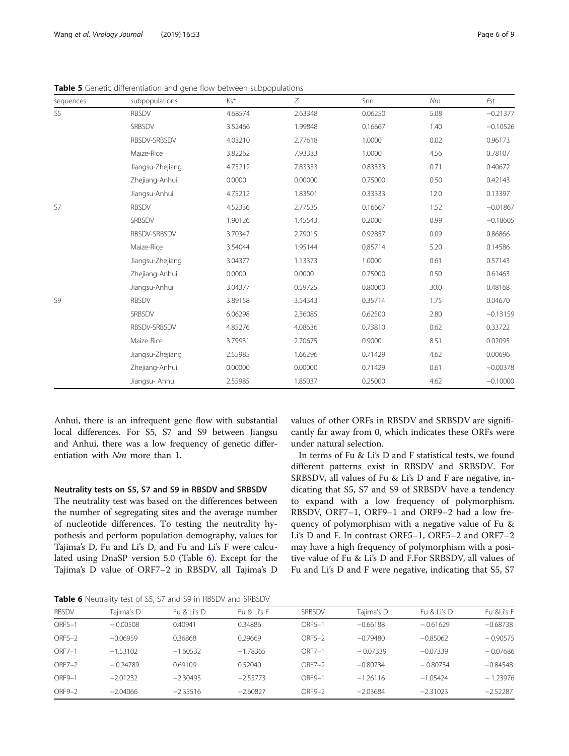| sequences      | subpopulations   | Ks*     | Ζ       | Snn     | Nm   | Fst        |
|----------------|------------------|---------|---------|---------|------|------------|
| S <sub>5</sub> | <b>RBSDV</b>     | 4.68574 | 2.63348 | 0.06250 | 5.08 | $-0.21377$ |
|                | SRBSDV           | 3.52466 | 1.99848 | 0.16667 | 1.40 | $-0.10526$ |
|                | RBSDV-SRBSDV     | 4.03210 | 2.77618 | 1.0000  | 0.02 | 0.96173    |
|                | Maize-Rice       | 3.82262 | 7.93333 | 1.0000  | 4.56 | 0.78107    |
|                | Jiangsu-Zhejiang | 4.75212 | 7.83333 | 0.83333 | 0.71 | 0.40672    |
|                | Zhejiang-Anhui   | 0.0000  | 0.00000 | 0.75000 | 0.50 | 0.42143    |
|                | Jiangsu-Anhui    | 4.75212 | 1.83501 | 0.33333 | 12.0 | 0.13397    |
| S7             | <b>RBSDV</b>     | 4.52336 | 2.77535 | 0.16667 | 1.52 | $-0.01867$ |
|                | SRBSDV           | 1.90126 | 1.45543 | 0.2000  | 0.99 | $-0.18605$ |
|                | RBSDV-SRBSDV     | 3.70347 | 2.79015 | 0.92857 | 0.09 | 0.86866    |
|                | Maize-Rice       | 3.54044 | 1.95144 | 0.85714 | 5.20 | 0.14586    |
|                | Jiangsu-Zhejiang | 3.04377 | 1.13373 | 1.0000  | 0.61 | 0.57143    |
|                | Zhejiang-Anhui   | 0.0000  | 0.0000  | 0.75000 | 0.50 | 0.61463    |
|                | Jiangsu-Anhui    | 3.04377 | 0.59725 | 0.80000 | 30.0 | 0.48168    |
| S9             | <b>RBSDV</b>     | 3.89158 | 3.54343 | 0.35714 | 1.75 | 0.04670    |
|                | SRBSDV           | 6.06298 | 2.36085 | 0.62500 | 2.80 | $-0.13159$ |
|                | RBSDV-SRBSDV     | 4.85276 | 4.08636 | 0.73810 | 0.62 | 0.33722    |
|                | Maize-Rice       | 3.79931 | 2.70675 | 0.9000  | 8.51 | 0.02095    |
|                | Jiangsu-Zhejiang | 2.55985 | 1.66296 | 0.71429 | 4.62 | 0.00696    |
|                | Zhejiang-Anhui   | 0.00000 | 0.00000 | 0.71429 | 0.61 | $-0.00378$ |
|                | Jiangsu- Anhui   | 2.55985 | 1.85037 | 0.25000 | 4.62 | $-0.10000$ |

<span id="page-5-0"></span>Table 5 Genetic differentiation and gene flow between subpopulations

Anhui, there is an infrequent gene flow with substantial local differences. For S5, S7 and S9 between Jiangsu and Anhui, there was a low frequency of genetic differentiation with  $Nm$  more than 1.

# Neutrality tests on S5, S7 and S9 in RBSDV and SRBSDV

The neutrality test was based on the differences between the number of segregating sites and the average number of nucleotide differences. To testing the neutrality hypothesis and perform population demography, values for Tajima's D, Fu and Li's D, and Fu and Li's F were calculated using DnaSP version 5.0 (Table 6). Except for the Tajima's D value of ORF7–2 in RBSDV, all Tajima's D values of other ORFs in RBSDV and SRBSDV are significantly far away from 0, which indicates these ORFs were under natural selection.

In terms of Fu & Li's D and F statistical tests, we found different patterns exist in RBSDV and SRBSDV. For SRBSDV, all values of Fu & Li's D and F are negative, indicating that S5, S7 and S9 of SRBSDV have a tendency to expand with a low frequency of polymorphism. RBSDV, ORF7–1, ORF9–1 and ORF9–2 had a low frequency of polymorphism with a negative value of Fu & Li's D and F. In contrast ORF5–1, ORF5–2 and ORF7–2 may have a high frequency of polymorphism with a positive value of Fu & Li's D and F.For SRBSDV, all values of Fu and Li's D and F were negative, indicating that S5, S7

Table 6 Neutrality test of S5, S7 and S9 in RBSDV and SRBSDV

| <b>RBSDV</b> | Taiima's D | Fu & li's D | Fu & li's F | SRBSDV   | Taiima's D | Fu & Li's D | Fu &Li's F |
|--------------|------------|-------------|-------------|----------|------------|-------------|------------|
| ORF5-1       | $-0.00508$ | 0.40941     | 0.34886     | ORF5-1   | $-0.66188$ | $-0.61629$  | $-0.68738$ |
| ORF5-2       | $-0.06959$ | 0.36868     | 0.29669     | ORF5-2   | $-0.79480$ | $-0.85062$  | $-0.90575$ |
| ORF7-1       | $-1.53102$ | $-1.60532$  | $-1.78365$  | ORF7-1   | $-0.07339$ | $-0.07339$  | $-0.07686$ |
| ORF7-2       | $-0.24789$ | 0.69109     | 0.52040     | $ORF7-2$ | $-0.80734$ | $-0.80734$  | $-0.84548$ |
| ORF9-1       | $-2.01232$ | $-2.30495$  | $-2.55773$  | ORF9-1   | $-1.26116$ | $-1.05424$  | $-1.23976$ |
| ORF9-2       | $-2.04066$ | $-2.35516$  | $-2.60827$  | ORF9-2   | $-2.03684$ | $-2.31023$  | $-2.52287$ |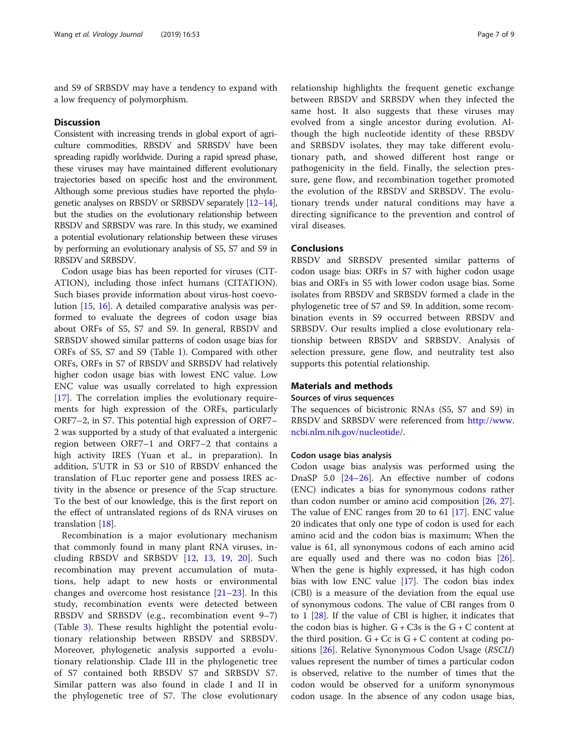and S9 of SRBSDV may have a tendency to expand with a low frequency of polymorphism.

#### **Discussion**

Consistent with increasing trends in global export of agriculture commodities, RBSDV and SRBSDV have been spreading rapidly worldwide. During a rapid spread phase, these viruses may have maintained different evolutionary trajectories based on specific host and the environment. Although some previous studies have reported the phylogenetic analyses on RBSDV or SRBSDV separately [[12](#page-8-0)–[14](#page-8-0)], but the studies on the evolutionary relationship between RBSDV and SRBSDV was rare. In this study, we examined a potential evolutionary relationship between these viruses by performing an evolutionary analysis of S5, S7 and S9 in RBSDV and SRBSDV.

Codon usage bias has been reported for viruses (CIT-ATION), including those infect humans (CITATION). Such biases provide information about virus-host coevolution [\[15](#page-8-0), [16\]](#page-8-0). A detailed comparative analysis was performed to evaluate the degrees of codon usage bias about ORFs of S5, S7 and S9. In general, RBSDV and SRBSDV showed similar patterns of codon usage bias for ORFs of S5, S7 and S9 (Table [1](#page-1-0)). Compared with other ORFs, ORFs in S7 of RBSDV and SRBSDV had relatively higher codon usage bias with lowest ENC value. Low ENC value was usually correlated to high expression [[17\]](#page-8-0). The correlation implies the evolutionary requirements for high expression of the ORFs, particularly ORF7–2, in S7. This potential high expression of ORF7– 2 was supported by a study of that evaluated a intergenic region between ORF7–1 and ORF7–2 that contains a high activity IRES (Yuan et al., in preparation). In addition, 5'UTR in S3 or S10 of RBSDV enhanced the translation of FLuc reporter gene and possess IRES activity in the absence or presence of the 5'cap structure. To the best of our knowledge, this is the first report on the effect of untranslated regions of ds RNA viruses on translation [\[18](#page-8-0)].

Recombination is a major evolutionary mechanism that commonly found in many plant RNA viruses, including RBSDV and SRBSDV [[12,](#page-8-0) [13](#page-8-0), [19](#page-8-0), [20](#page-8-0)]. Such recombination may prevent accumulation of mutations, help adapt to new hosts or environmental changes and overcome host resistance [[21](#page-8-0)–[23](#page-8-0)]. In this study, recombination events were detected between RBSDV and SRBSDV (e.g., recombination event 9–7) (Table [3](#page-3-0)). These results highlight the potential evolutionary relationship between RBSDV and SRBSDV. Moreover, phylogenetic analysis supported a evolutionary relationship. Clade III in the phylogenetic tree of S7 contained both RBSDV S7 and SRBSDV S7. Similar pattern was also found in clade I and II in the phylogenetic tree of S7. The close evolutionary

relationship highlights the frequent genetic exchange between RBSDV and SRBSDV when they infected the same host. It also suggests that these viruses may evolved from a single ancestor during evolution. Although the high nucleotide identity of these RBSDV and SRBSDV isolates, they may take different evolutionary path, and showed different host range or pathogenicity in the field. Finally, the selection pressure, gene flow, and recombination together promoted the evolution of the RBSDV and SRBSDV. The evolutionary trends under natural conditions may have a directing significance to the prevention and control of viral diseases.

# **Conclusions**

RBSDV and SRBSDV presented similar patterns of codon usage bias: ORFs in S7 with higher codon usage bias and ORFs in S5 with lower codon usage bias. Some isolates from RBSDV and SRBSDV formed a clade in the phylogenetic tree of S7 and S9. In addition, some recombination events in S9 occurred between RBSDV and SRBSDV. Our results implied a close evolutionary relationship between RBSDV and SRBSDV. Analysis of selection pressure, gene flow, and neutrality test also supports this potential relationship.

### Materials and methods

#### Sources of virus sequences

The sequences of bicistronic RNAs (S5, S7 and S9) in RBSDV and SRBSDV were referenced from [http://www.](http://www.ncbi.nlm.nih.gov/nucleotide/) [ncbi.nlm.nih.gov/nucleotide/](http://www.ncbi.nlm.nih.gov/nucleotide/).

#### Codon usage bias analysis

Codon usage bias analysis was performed using the DnaSP 5.0 [\[24](#page-8-0)–[26\]](#page-8-0). An effective number of codons (ENC) indicates a bias for synonymous codons rather than codon number or amino acid composition  $[26, 27]$  $[26, 27]$  $[26, 27]$  $[26, 27]$ . The value of ENC ranges from 20 to 61 [\[17](#page-8-0)]. ENC value 20 indicates that only one type of codon is used for each amino acid and the codon bias is maximum; When the value is 61, all synonymous codons of each amino acid are equally used and there was no codon bias [\[26](#page-8-0)]. When the gene is highly expressed, it has high codon bias with low ENC value [[17\]](#page-8-0). The codon bias index (CBI) is a measure of the deviation from the equal use of synonymous codons. The value of CBI ranges from 0 to 1 [[28\]](#page-8-0). If the value of CBI is higher, it indicates that the codon bias is higher.  $G + C3s$  is the  $G + C$  content at the third position.  $G + Cc$  is  $G + C$  content at coding po-sitions [[26\]](#page-8-0). Relative Synonymous Codon Usage (RSCU) values represent the number of times a particular codon is observed, relative to the number of times that the codon would be observed for a uniform synonymous codon usage. In the absence of any codon usage bias,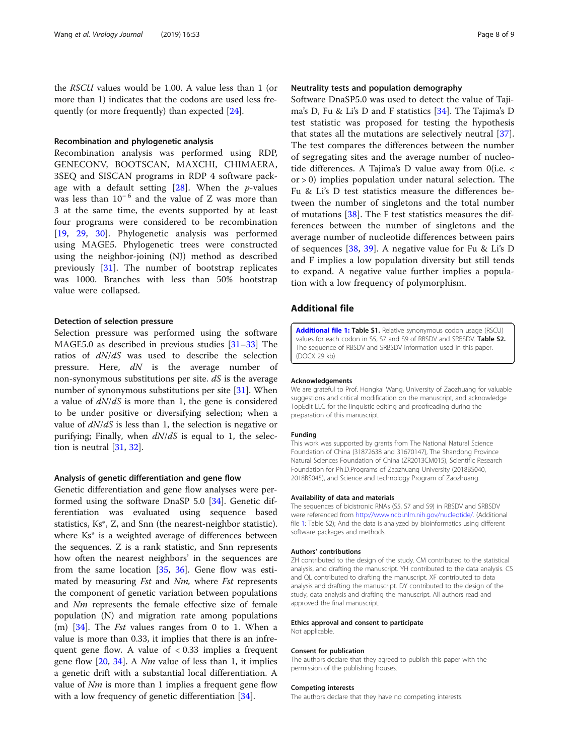<span id="page-7-0"></span>the RSCU values would be 1.00. A value less than 1 (or more than 1) indicates that the codons are used less frequently (or more frequently) than expected [\[24](#page-8-0)].

# Recombination and phylogenetic analysis

Recombination analysis was performed using RDP, GENECONV, BOOTSCAN, MAXCHI, CHIMAERA, 3SEQ and SISCAN programs in RDP 4 software package with a default setting  $[28]$  $[28]$ . When the *p*-values was less than  $10^{-6}$  and the value of Z was more than 3 at the same time, the events supported by at least four programs were considered to be recombination [[19,](#page-8-0) [29,](#page-8-0) [30\]](#page-8-0). Phylogenetic analysis was performed using MAGE5. Phylogenetic trees were constructed using the neighbor-joining (NJ) method as described previously [\[31](#page-8-0)]. The number of bootstrap replicates was 1000. Branches with less than 50% bootstrap value were collapsed.

#### Detection of selection pressure

Selection pressure was performed using the software MAGE5.0 as described in previous studies [[31](#page-8-0)–[33](#page-8-0)] The ratios of dN/dS was used to describe the selection pressure. Here,  $dN$  is the average number of non-synonymous substitutions per site.  $dS$  is the average number of synonymous substitutions per site [[31](#page-8-0)]. When a value of  $dN/dS$  is more than 1, the gene is considered to be under positive or diversifying selection; when a value of  $dN/dS$  is less than 1, the selection is negative or purifying; Finally, when  $dN/dS$  is equal to 1, the selection is neutral [\[31](#page-8-0), [32\]](#page-8-0).

#### Analysis of genetic differentiation and gene flow

Genetic differentiation and gene flow analyses were performed using the software DnaSP 5.0 [[34](#page-8-0)]. Genetic differentiation was evaluated using sequence based statistics, Ks\*, Z, and Snn (the nearest-neighbor statistic). where Ks\* is a weighted average of differences between the sequences. Z is a rank statistic, and Snn represents how often the nearest neighbors' in the sequences are from the same location [\[35](#page-8-0), [36](#page-8-0)]. Gene flow was estimated by measuring *Fst* and *Nm*, where *Fst* represents the component of genetic variation between populations and Nm represents the female effective size of female population (N) and migration rate among populations  $(m)$  [\[34\]](#page-8-0). The *Fst* values ranges from 0 to 1. When a value is more than 0.33, it implies that there is an infrequent gene flow. A value of < 0.33 implies a frequent gene flow  $[20, 34]$  $[20, 34]$  $[20, 34]$  $[20, 34]$ . A *Nm* value of less than 1, it implies a genetic drift with a substantial local differentiation. A value of  $Nm$  is more than 1 implies a frequent gene flow with a low frequency of genetic differentiation [\[34](#page-8-0)].

# Neutrality tests and population demography

Software DnaSP5.0 was used to detect the value of Tajima's D, Fu & Li's D and F statistics [[34\]](#page-8-0). The Tajima's D test statistic was proposed for testing the hypothesis that states all the mutations are selectively neutral [\[37](#page-8-0)]. The test compares the differences between the number of segregating sites and the average number of nucleotide differences. A Tajima's D value away from 0(i.e. < or > 0) implies population under natural selection. The Fu & Li's D test statistics measure the differences between the number of singletons and the total number of mutations  $[38]$  $[38]$ . The F test statistics measures the differences between the number of singletons and the average number of nucleotide differences between pairs of sequences [\[38](#page-8-0), [39](#page-8-0)]. A negative value for Fu & Li's D and F implies a low population diversity but still tends to expand. A negative value further implies a population with a low frequency of polymorphism.

# Additional file

[Additional file 1:](https://doi.org/10.1186/s12985-019-1163-3) Table S1. Relative synonymous codon usage (RSCU) values for each codon in S5, S7 and S9 of RBSDV and SRBSDV. Table S2. The sequence of RBSDV and SRBSDV information used in this paper. (DOCX 29 kb)

#### Acknowledgements

We are grateful to Prof. Hongkai Wang, University of Zaozhuang for valuable suggestions and critical modification on the manuscript, and acknowledge TopEdit LLC for the linguistic editing and proofreading during the preparation of this manuscript.

#### Funding

This work was supported by grants from The National Natural Science Foundation of China (31872638 and 31670147), The Shandong Province Natural Sciences Foundation of China (ZR2013CM015), Scientific Research Foundation for Ph.D.Programs of Zaozhuang University (2018BS040, 2018BS045), and Science and technology Program of Zaozhuang.

#### Availability of data and materials

The sequences of bicistronic RNAs (S5, S7 and S9) in RBSDV and SRBSDV were referenced from <http://www.ncbi.nlm.nih.gov/nucleotide/>. (Additional file 1: Table S2); And the data is analyzed by bioinformatics using different software packages and methods.

#### Authors' contributions

ZH contributed to the design of the study. CM contributed to the statistical analysis, and drafting the manuscript. YH contributed to the data analysis. CS and QL contributed to drafting the manuscript. XF contributed to data analysis and drafting the manuscript. DY contributed to the design of the study, data analysis and drafting the manuscript. All authors read and approved the final manuscript.

#### Ethics approval and consent to participate

Not applicable.

#### Consent for publication

The authors declare that they agreed to publish this paper with the permission of the publishing houses.

#### Competing interests

The authors declare that they have no competing interests.